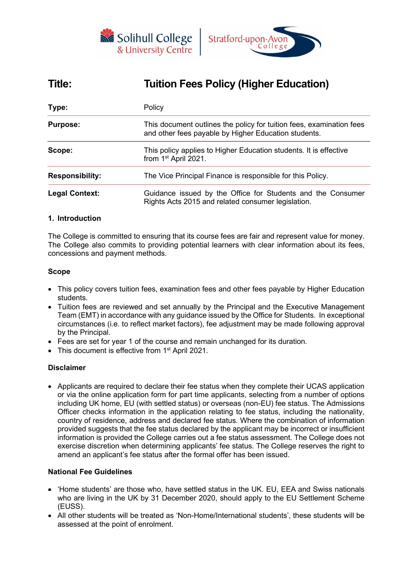



# **Title: Tuition Fees Policy (Higher Education)**

| Type:                  | Policy                                                                                                                       |  |  |  |
|------------------------|------------------------------------------------------------------------------------------------------------------------------|--|--|--|
| <b>Purpose:</b>        | This document outlines the policy for tuition fees, examination fees<br>and other fees payable by Higher Education students. |  |  |  |
| Scope:                 | This policy applies to Higher Education students. It is effective<br>from 1 <sup>st</sup> April 2021.                        |  |  |  |
| <b>Responsibility:</b> | The Vice Principal Finance is responsible for this Policy.                                                                   |  |  |  |
| <b>Legal Context:</b>  | Guidance issued by the Office for Students and the Consumer<br>Rights Acts 2015 and related consumer legislation.            |  |  |  |

## **1. Introduction**

The College is committed to ensuring that its course fees are fair and represent value for money. The College also commits to providing potential learners with clear information about its fees, concessions and payment methods.

#### **Scope**

- This policy covers tuition fees, examination fees and other fees payable by Higher Education students.
- Tuition fees are reviewed and set annually by the Principal and the Executive Management Team (EMT) in accordance with any guidance issued by the Office for Students. In exceptional circumstances (i.e. to reflect market factors), fee adjustment may be made following approval by the Principal.
- Fees are set for year 1 of the course and remain unchanged for its duration.
- This document is effective from 1<sup>st</sup> April 2021.

#### **Disclaimer**

• Applicants are required to declare their fee status when they complete their UCAS application or via the online application form for part time applicants, selecting from a number of options including UK home, EU (with settled status) or overseas (non-EU) fee status. The Admissions Officer checks information in the application relating to fee status, including the nationality, country of residence, address and declared fee status. Where the combination of information provided suggests that the fee status declared by the applicant may be incorrect or insufficient information is provided the College carries out a fee status assessment. The College does not exercise discretion when determining applicants' fee status. The College reserves the right to amend an applicant's fee status after the formal offer has been issued.

#### **National Fee Guidelines**

- 'Home students' are those who, have settled status in the UK. EU, EEA and Swiss nationals who are living in the UK by 31 December 2020, should apply to the EU Settlement Scheme (EUSS).
- All other students will be treated as 'Non-Home/International students', these students will be assessed at the point of enrolment.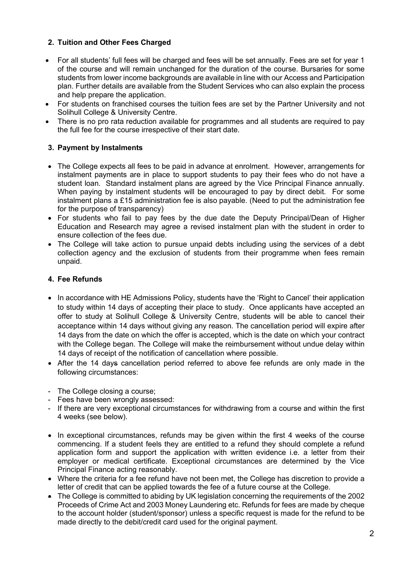# **2. Tuition and Other Fees Charged**

- For all students' full fees will be charged and fees will be set annually. Fees are set for year 1 of the course and will remain unchanged for the duration of the course. Bursaries for some students from lower income backgrounds are available in line with our Access and Participation plan. Further details are available from the Student Services who can also explain the process and help prepare the application.
- For students on franchised courses the tuition fees are set by the Partner University and not Solihull College & University Centre.
- There is no pro rata reduction available for programmes and all students are required to pay the full fee for the course irrespective of their start date.

# **3. Payment by Instalments**

- The College expects all fees to be paid in advance at enrolment. However, arrangements for instalment payments are in place to support students to pay their fees who do not have a student loan. Standard instalment plans are agreed by the Vice Principal Finance annually. When paying by instalment students will be encouraged to pay by direct debit. For some instalment plans a £15 administration fee is also payable. (Need to put the administration fee for the purpose of transparency)
- For students who fail to pay fees by the due date the Deputy Principal/Dean of Higher Education and Research may agree a revised instalment plan with the student in order to ensure collection of the fees due.
- The College will take action to pursue unpaid debts including using the services of a debt collection agency and the exclusion of students from their programme when fees remain unpaid.

# **4. Fee Refunds**

- In accordance with HE Admissions Policy, students have the 'Right to Cancel' their application to study within 14 days of accepting their place to study. Once applicants have accepted an offer to study at Solihull College & University Centre, students will be able to cancel their acceptance within 14 days without giving any reason. The cancellation period will expire after 14 days from the date on which the offer is accepted, which is the date on which your contract with the College began. The College will make the reimbursement without undue delay within 14 days of receipt of the notification of cancellation where possible.
- After the 14 days cancellation period referred to above fee refunds are only made in the following circumstances:
- The College closing a course;
- Fees have been wrongly assessed:
- If there are very exceptional circumstances for withdrawing from a course and within the first 4 weeks (see below).
- In exceptional circumstances, refunds may be given within the first 4 weeks of the course commencing. If a student feels they are entitled to a refund they should complete a refund application form and support the application with written evidence i.e. a letter from their employer or medical certificate. Exceptional circumstances are determined by the Vice Principal Finance acting reasonably.
- Where the criteria for a fee refund have not been met, the College has discretion to provide a letter of credit that can be applied towards the fee of a future course at the College.
- The College is committed to abiding by UK legislation concerning the requirements of the 2002 Proceeds of Crime Act and 2003 Money Laundering etc. Refunds for fees are made by cheque to the account holder (student/sponsor) unless a specific request is made for the refund to be made directly to the debit/credit card used for the original payment.